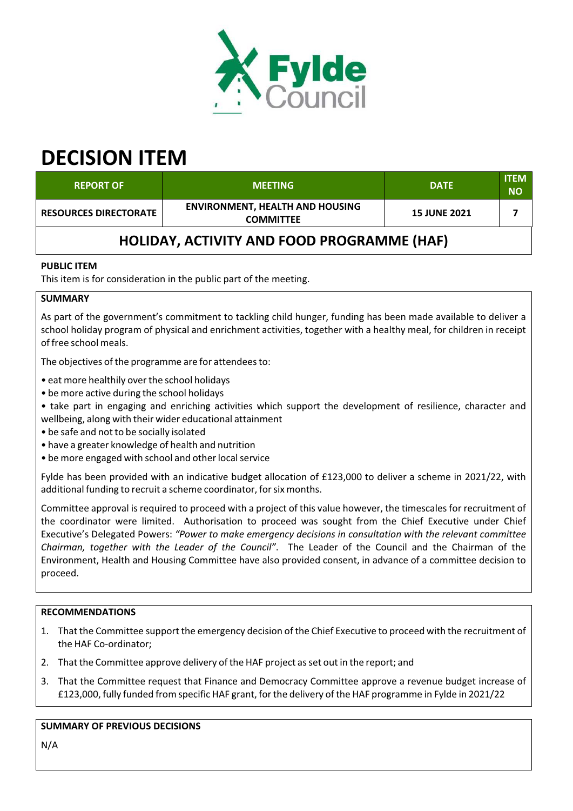

# **DECISION ITEM**

| <b>REPORT OF</b>                                  | <b>MEETING</b>                                             | <b>DATE</b>         | <b>ITEM</b><br><b>NO</b> |  |  |
|---------------------------------------------------|------------------------------------------------------------|---------------------|--------------------------|--|--|
| <b>RESOURCES DIRECTORATE</b>                      | <b>ENVIRONMENT, HEALTH AND HOUSING</b><br><b>COMMITTEE</b> | <b>15 JUNE 2021</b> |                          |  |  |
| <b>HOLIDAY, ACTIVITY AND FOOD PROGRAMME (HAF)</b> |                                                            |                     |                          |  |  |

#### **PUBLIC ITEM**

This item is for consideration in the public part of the meeting.

#### **SUMMARY**

As part of the government's commitment to tackling child hunger, funding has been made available to deliver a school holiday program of physical and enrichment activities, together with a healthy meal, for children in receipt of free school meals.

The objectives of the programme are for attendees to:

• eat more healthily over the school holidays

- be more active during the school holidays
- take part in engaging and enriching activities which support the development of resilience, character and wellbeing, along with their wider educational attainment
- be safe and not to be socially isolated
- have a greater knowledge of health and nutrition
- be more engaged with school and other local service

Fylde has been provided with an indicative budget allocation of £123,000 to deliver a scheme in 2021/22, with additional funding to recruit a scheme coordinator, for six months.

Committee approval is required to proceed with a project of this value however, the timescales for recruitment of the coordinator were limited. Authorisation to proceed was sought from the Chief Executive under Chief Executive's Delegated Powers: *"Power to make emergency decisions in consultation with the relevant committee Chairman, together with the Leader of the Council"*. The Leader of the Council and the Chairman of the Environment, Health and Housing Committee have also provided consent, in advance of a committee decision to proceed.

## **RECOMMENDATIONS**

- 1. That the Committee support the emergency decision of the Chief Executive to proceed with the recruitment of the HAF Co‐ordinator;
- 2. That the Committee approve delivery of the HAF project as set out in the report; and
- 3. That the Committee request that Finance and Democracy Committee approve a revenue budget increase of £123,000, fully funded from specific HAF grant, forthe delivery of the HAF programme in Fylde in 2021/22

## **SUMMARY OF PREVIOUS DECISIONS**

N/A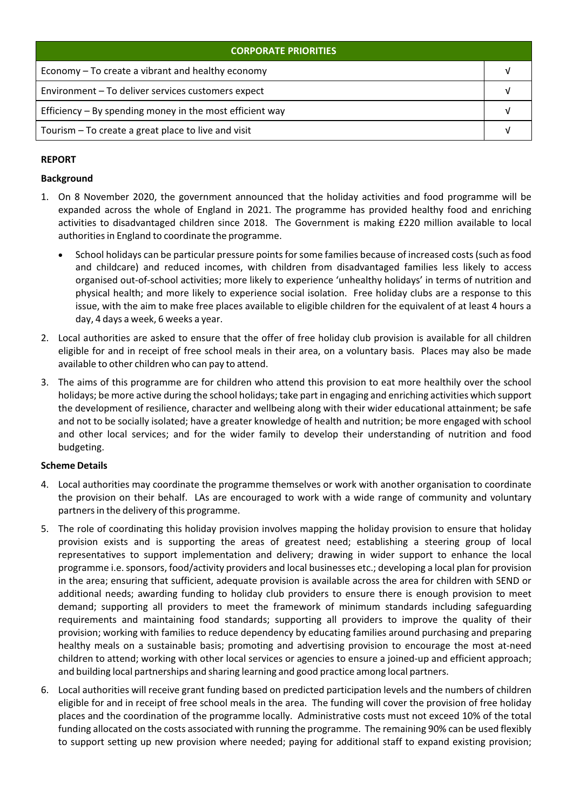| <b>CORPORATE PRIORITIES</b>                                |  |  |
|------------------------------------------------------------|--|--|
| Economy – To create a vibrant and healthy economy          |  |  |
| Environment - To deliver services customers expect         |  |  |
| Efficiency $-$ By spending money in the most efficient way |  |  |
| Tourism – To create a great place to live and visit        |  |  |

## **REPORT**

#### **Background**

- 1. On 8 November 2020, the government announced that the holiday activities and food programme will be expanded across the whole of England in 2021. The programme has provided healthy food and enriching activities to disadvantaged children since 2018. The Government is making £220 million available to local authorities in England to coordinate the programme.
	- School holidays can be particular pressure points for some families because of increased costs (such as food and childcare) and reduced incomes, with children from disadvantaged families less likely to access organised out‐of‐school activities; more likely to experience 'unhealthy holidays' in terms of nutrition and physical health; and more likely to experience social isolation. Free holiday clubs are a response to this issue, with the aim to make free places available to eligible children for the equivalent of at least 4 hours a day, 4 days a week, 6 weeks a year.
- 2. Local authorities are asked to ensure that the offer of free holiday club provision is available for all children eligible for and in receipt of free school meals in their area, on a voluntary basis. Places may also be made available to other children who can pay to attend.
- 3. The aims of this programme are for children who attend this provision to eat more healthily over the school holidays; be more active during the school holidays; take part in engaging and enriching activities which support the development of resilience, character and wellbeing along with their wider educational attainment; be safe and not to be socially isolated; have a greater knowledge of health and nutrition; be more engaged with school and other local services; and for the wider family to develop their understanding of nutrition and food budgeting.

## **Scheme Details**

- 4. Local authorities may coordinate the programme themselves or work with another organisation to coordinate the provision on their behalf. LAs are encouraged to work with a wide range of community and voluntary partners in the delivery of this programme.
- 5. The role of coordinating this holiday provision involves mapping the holiday provision to ensure that holiday provision exists and is supporting the areas of greatest need; establishing a steering group of local representatives to support implementation and delivery; drawing in wider support to enhance the local programme i.e. sponsors, food/activity providers and local businesses etc.; developing a local plan for provision in the area; ensuring that sufficient, adequate provision is available across the area for children with SEND or additional needs; awarding funding to holiday club providers to ensure there is enough provision to meet demand; supporting all providers to meet the framework of minimum standards including safeguarding requirements and maintaining food standards; supporting all providers to improve the quality of their provision; working with families to reduce dependency by educating families around purchasing and preparing healthy meals on a sustainable basis; promoting and advertising provision to encourage the most at-need children to attend; working with other local services or agencies to ensure a joined‐up and efficient approach; and building local partnerships and sharing learning and good practice among local partners.
- 6. Local authorities will receive grant funding based on predicted participation levels and the numbers of children eligible for and in receipt of free school meals in the area. The funding will cover the provision of free holiday places and the coordination of the programme locally. Administrative costs must not exceed 10% of the total funding allocated on the costs associated with running the programme. The remaining 90% can be used flexibly to support setting up new provision where needed; paying for additional staff to expand existing provision;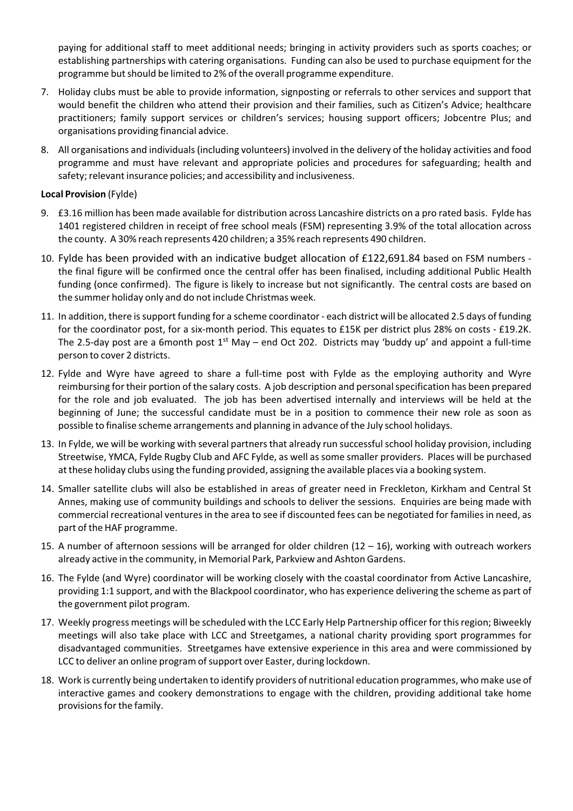paying for additional staff to meet additional needs; bringing in activity providers such as sports coaches; or establishing partnerships with catering organisations. Funding can also be used to purchase equipment for the programme but should be limited to 2% of the overall programme expenditure.

- 7. Holiday clubs must be able to provide information, signposting or referrals to other services and support that would benefit the children who attend their provision and their families, such as Citizen's Advice; healthcare practitioners; family support services or children's services; housing support officers; Jobcentre Plus; and organisations providing financial advice.
- 8. All organisations and individuals(including volunteers) involved in the delivery of the holiday activities and food programme and must have relevant and appropriate policies and procedures for safeguarding; health and safety; relevant insurance policies; and accessibility and inclusiveness.

#### **Local Provision** (Fylde)

- 9. £3.16 million has been made available for distribution across Lancashire districts on a pro rated basis. Fylde has 1401 registered children in receipt of free school meals (FSM) representing 3.9% of the total allocation across the county. A 30% reach represents 420 children; a 35% reach represents 490 children.
- 10. Fylde has been provided with an indicative budget allocation of £122,691.84 based on FSM numbers ‐ the final figure will be confirmed once the central offer has been finalised, including additional Public Health funding (once confirmed). The figure is likely to increase but not significantly. The central costs are based on the summer holiday only and do not include Christmas week.
- 11. In addition, there is support funding for a scheme coordinator each district will be allocated 2.5 days of funding for the coordinator post, for a six‐month period. This equates to £15K per district plus 28% on costs ‐ £19.2K. The 2.5-day post are a 6month post 1<sup>st</sup> May – end Oct 202. Districts may 'buddy up' and appoint a full-time person to cover 2 districts.
- 12. Fylde and Wyre have agreed to share a full-time post with Fylde as the employing authority and Wyre reimbursing for their portion of the salary costs. A job description and personalspecification has been prepared for the role and job evaluated. The job has been advertised internally and interviews will be held at the beginning of June; the successful candidate must be in a position to commence their new role as soon as possible to finalise scheme arrangements and planning in advance of the July school holidays.
- 13. In Fylde, we will be working with several partners that already run successful school holiday provision, including Streetwise, YMCA, Fylde Rugby Club and AFC Fylde, as well as some smaller providers. Places will be purchased at these holiday clubs using the funding provided, assigning the available places via a booking system.
- 14. Smaller satellite clubs will also be established in areas of greater need in Freckleton, Kirkham and Central St Annes, making use of community buildings and schools to deliver the sessions. Enquiries are being made with commercial recreational ventures in the area to see if discounted fees can be negotiated for families in need, as part of the HAF programme.
- 15. A number of afternoon sessions will be arranged for older children (12 16), working with outreach workers already active in the community, in Memorial Park, Parkview and Ashton Gardens.
- 16. The Fylde (and Wyre) coordinator will be working closely with the coastal coordinator from Active Lancashire, providing 1:1 support, and with the Blackpool coordinator, who has experience delivering the scheme as part of the government pilot program.
- 17. Weekly progress meetings will be scheduled with the LCC Early Help Partnership officerfor thisregion; Biweekly meetings will also take place with LCC and Streetgames, a national charity providing sport programmes for disadvantaged communities. Streetgames have extensive experience in this area and were commissioned by LCC to deliver an online program of support over Easter, during lockdown.
- 18. Work is currently being undertaken to identify providers of nutritional education programmes, who make use of interactive games and cookery demonstrations to engage with the children, providing additional take home provisions for the family.